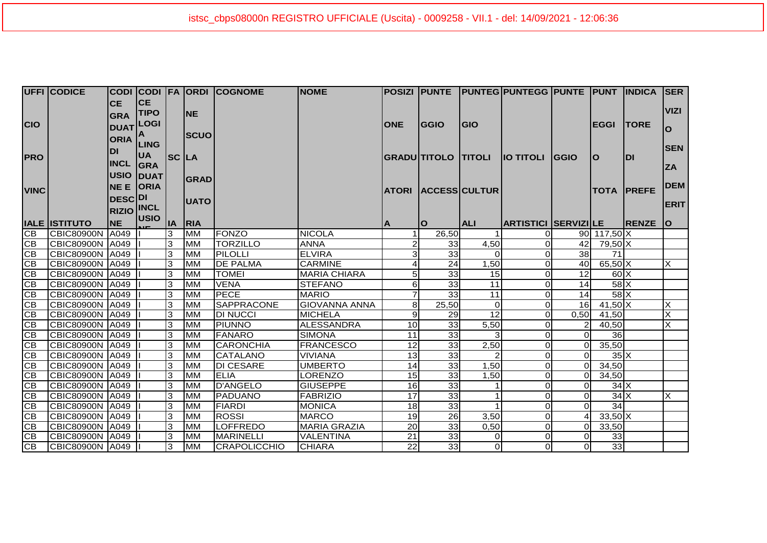|                 | <b>UFFI CODICE</b>   |                   |                  |       |             | CODI CODI FA ORDI COGNOME | <b>NOME</b>          |                 |                     |                     | POSIZI  PUNTE  PUNTEG PUNTEGG PUNTE  PUNT  INDICA |                |                  |                   | <b>ISER</b>               |
|-----------------|----------------------|-------------------|------------------|-------|-------------|---------------------------|----------------------|-----------------|---------------------|---------------------|---------------------------------------------------|----------------|------------------|-------------------|---------------------------|
|                 |                      | <b>CE</b>         | <b>CE</b>        |       |             |                           |                      |                 |                     |                     |                                                   |                |                  |                   |                           |
|                 |                      | <b>GRA</b>        | <b>TIPO</b>      |       | <b>NE</b>   |                           |                      |                 |                     |                     |                                                   |                |                  |                   | <b>VIZI</b>               |
| <b>CIO</b>      |                      |                   | <b>DUAT LOGI</b> |       |             |                           |                      | <b>ONE</b>      | <b>IGGIO</b>        | <b>GIO</b>          |                                                   |                | <b>EGGI</b>      | <b>ITORE</b>      | $\Omega$                  |
|                 |                      | <b>ORIA</b>       | A                |       | <b>SCUO</b> |                           |                      |                 |                     |                     |                                                   |                |                  |                   |                           |
|                 |                      | <b>DI</b>         | <b>LING</b>      |       |             |                           |                      |                 |                     |                     |                                                   |                |                  |                   | <b>SEN</b>                |
| <b>PRO</b>      |                      |                   | <b>UA</b>        | SC LA |             |                           |                      |                 | GRADU TITOLO TITOLI |                     | <b>IO TITOLI</b>                                  | <b>IGGIO</b>   | lO               | IDI               |                           |
|                 |                      | <b>INCL</b>       | GRA              |       |             |                           |                      |                 |                     |                     |                                                   |                |                  |                   | <b>ZA</b>                 |
|                 |                      |                   | <b>USIO DUAT</b> |       | GRAD        |                           |                      |                 |                     |                     |                                                   |                |                  |                   |                           |
| <b>VINC</b>     |                      | <b>NE E ORIA</b>  |                  |       |             |                           |                      |                 |                     | ATORI ACCESS CULTUR |                                                   |                |                  | <b>TOTA PREFE</b> | <b>DEM</b>                |
|                 |                      | <b>DESCOL</b>     |                  |       | <b>UATO</b> |                           |                      |                 |                     |                     |                                                   |                |                  |                   | <b>ERIT</b>               |
|                 |                      | <b>RIZIO INCL</b> |                  |       |             |                           |                      |                 |                     |                     |                                                   |                |                  |                   |                           |
|                 | <b>IALE ISTITUTO</b> | <b>NE</b>         | <b>USIO</b>      |       | IA RIA      |                           |                      | $\mathbf{A}$    | ΙO                  | <b>ALI</b>          | <b>ARTISTICI SERVIZI LE</b>                       |                |                  | <b>IRENZE</b>     | lo                        |
| CB              | <b>CBIC80900N</b>    | A049              |                  | 3     | <b>MM</b>   | <b>FONZO</b>              | <b>NICOLA</b>        |                 | 26,50               |                     |                                                   |                | 90 117,50 X      |                   |                           |
| IСB             | <b>CBIC80900N</b>    | A049              |                  | 3     | <b>MM</b>   | <b>TORZILLO</b>           | <b>ANNA</b>          |                 | 33                  | 4,50                | $\Omega$                                          | 42             | 79,50 X          |                   |                           |
| $\overline{CB}$ | CBIC80900N A049      |                   |                  | 3     | <b>MM</b>   | PILOLLI                   | <b>ELVIRA</b>        | 31              | 33                  | $\Omega$            | $\Omega$                                          | 38             | 71               |                   |                           |
| $\overline{CB}$ | CBIC80900N A049      |                   |                  | 3     | <b>MM</b>   | <b>DE PALMA</b>           | <b>CARMINE</b>       |                 | 24                  | 1,50                | $\Omega$                                          | 40             | $65,50$ X        |                   | $\overline{\mathsf{x}}$   |
| CB              | CBIC80900N A049      |                   |                  | 3     | <b>MM</b>   | <b>TOMEI</b>              | <b>MARIA CHIARA</b>  | 51              | 33                  | 15                  | 0                                                 | 12             | $60\text{X}$     |                   |                           |
| C <sub>B</sub>  | CBIC80900N A049      |                   |                  | IЗ    | <b>IMM</b>  | <b>VENA</b>               | <b>STEFANO</b>       | 61              | 33                  | 11                  | $\Omega$                                          | 14             | $58$ $X$         |                   |                           |
| CB              | CBIC80900N A049      |                   |                  | Iз    | <b>MM</b>   | <b>PECE</b>               | <b>MARIO</b>         |                 | 33                  | 11                  | $\Omega$                                          | 14             | $58$ $X$         |                   |                           |
| <b>CB</b>       | CBIC80900N A049      |                   |                  | 3     | <b>IMM</b>  | <b>SAPPRACONE</b>         | <b>GIOVANNA ANNA</b> | 8               | 25,50               | $\Omega$            | $\Omega$                                          | 16             | $41,50$ X        |                   | $\boldsymbol{\mathsf{X}}$ |
| $\overline{CB}$ | CBIC80900N A049      |                   |                  | 3     | <b>MM</b>   | <b>DI NUCCI</b>           | <b>MICHELA</b>       | 9               | 29                  | 12                  | $\Omega$                                          | 0,50           | 41,50            |                   | $\overline{\mathsf{x}}$   |
| $\overline{CB}$ | CBIC80900N A049      |                   |                  | 3     | <b>MM</b>   | <b>PIUNNO</b>             | <b>ALESSANDRA</b>    | 10 <sup>1</sup> | 33                  | 5,50                | $\Omega$                                          | $\overline{2}$ | 40,50            |                   | $\overline{\mathsf{x}}$   |
| $\overline{CB}$ | CBIC80900N A049      |                   |                  | IЗ    | <b>MM</b>   | <b>FANARO</b>             | <b>SIMONA</b>        | 11              | 33                  | $\overline{3}$      | 0                                                 | ΟI             | 36 <sup>l</sup>  |                   |                           |
| $\overline{CB}$ | CBIC80900N A049      |                   |                  | 3     | <b>MM</b>   | <b>CARONCHIA</b>          | <b>FRANCESCO</b>     | 12              | 33                  | 2,50                | $\Omega$                                          | $\overline{O}$ | 35,50            |                   |                           |
| $\overline{CB}$ | CBIC80900N A049      |                   |                  | 3     | <b>MM</b>   | <b>CATALANO</b>           | <b>VIVIANA</b>       | 13              | 33                  | $\mathcal{P}$       | $\Omega$                                          | ΩI             | $35\text{X}$     |                   |                           |
| $\overline{CB}$ | CBIC80900N A049      |                   |                  | 3     | <b>MM</b>   | <b>DI CESARE</b>          | <b>UMBERTO</b>       | 14              | 33                  | 1,50                | 0                                                 | $\overline{O}$ | 34,50            |                   |                           |
| IСB             | CBIC80900N A049      |                   |                  | 3     | <b>MM</b>   | <b>ELIA</b>               | LORENZO              | 15              | 33                  | 1,50                | $\Omega$                                          | ΟI             | 34,50            |                   |                           |
| CB              | CBIC80900N A049      |                   |                  | 3     | <b>MM</b>   | <b>D'ANGELO</b>           | <b>GIUSEPPE</b>      | 16              | 33                  |                     | $\Omega$                                          | $\Omega$       | $34\overline{X}$ |                   |                           |
| $\overline{CB}$ | CBIC80900N A049      |                   |                  | 3     | <b>MM</b>   | PADUANO                   | <b>FABRIZIO</b>      | $\overline{17}$ | 33                  |                     | $\Omega$                                          | $\Omega$       | $34\overline{X}$ |                   | $\boldsymbol{\mathsf{X}}$ |
| CB              | CBIC80900N A049      |                   |                  | 3     | <b>MM</b>   | <b>FIARDI</b>             | <b>MONICA</b>        | 18 <sup>l</sup> | 33                  |                     | $\Omega$                                          | $\Omega$       | 34               |                   |                           |
| CB              | CBIC80900N   A049    |                   |                  | Iз    | <b>MM</b>   | <b>ROSSI</b>              | <b>MARCO</b>         | 19              | $\overline{26}$     | 3,50                | $\Omega$                                          |                | $33,50$ X        |                   |                           |
| IСB             | CBIC80900N           | A049              |                  | Iз    | <b>MM</b>   | <b>LOFFREDO</b>           | <b>MARIA GRAZIA</b>  | 20              | 33                  | 0,50                | $\Omega$                                          | ΟI             | 33,50            |                   |                           |
| IСB             | CBIC80900N A049      |                   |                  | 3     | <b>MM</b>   | <b>MARINELLI</b>          | VALENTINA            | 21              | 33                  | $\overline{0}$      | $\Omega$                                          | $\Omega$       | 33               |                   |                           |
| $\overline{CB}$ | CBIC80900N A049      |                   |                  | IЗ    | <b>MM</b>   | CRAPOLICCHIO              | <b>CHIARA</b>        | 22              | 33                  | $\overline{0}$      | $\Omega$                                          |                | 33               |                   |                           |